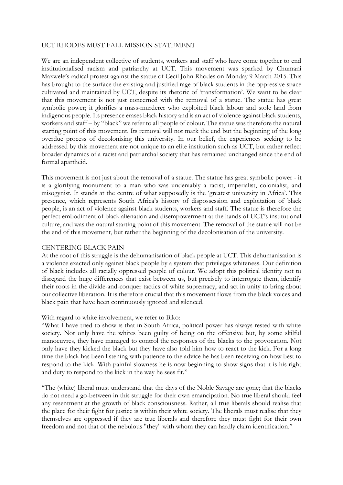## UCT RHODES MUST FALL MISSION STATEMENT

We are an independent collective of students, workers and staff who have come together to end institutionalised racism and patriarchy at UCT. This movement was sparked by Chumani Maxwele's radical protest against the statue of Cecil John Rhodes on Monday 9 March 2015. This has brought to the surface the existing and justified rage of black students in the oppressive space cultivated and maintained by UCT, despite its rhetoric of 'transformation'. We want to be clear that this movement is not just concerned with the removal of a statue. The statue has great symbolic power; it glorifies a mass-murderer who exploited black labour and stole land from indigenous people. Its presence erases black history and is an act of violence against black students, workers and staff – by "black" we refer to all people of colour. The statue was therefore the natural starting point of this movement. Its removal will not mark the end but the beginning of the long overdue process of decolonising this university. In our belief, the experiences seeking to be addressed by this movement are not unique to an elite institution such as UCT, but rather reflect broader dynamics of a racist and patriarchal society that has remained unchanged since the end of formal apartheid.

This movement is not just about the removal of a statue. The statue has great symbolic power - it is a glorifying monument to a man who was undeniably a racist, imperialist, colonialist, and misogynist. It stands at the centre of what supposedly is the 'greatest university in Africa'. This presence, which represents South Africa's history of dispossession and exploitation of black people, is an act of violence against black students, workers and staff. The statue is therefore the perfect embodiment of black alienation and disempowerment at the hands of UCT's institutional culture, and was the natural starting point of this movement. The removal of the statue will not be the end of this movement, but rather the beginning of the decolonisation of the university.

### CENTERING BLACK PAIN

At the root of this struggle is the dehumanisation of black people at UCT. This dehumanisation is a violence exacted only against black people by a system that privileges whiteness. Our definition of black includes all racially oppressed people of colour. We adopt this political identity not to disregard the huge differences that exist between us, but precisely to interrogate them, identify their roots in the divide-and-conquer tactics of white supremacy, and act in unity to bring about our collective liberation. It is therefore crucial that this movement flows from the black voices and black pain that have been continuously ignored and silenced.

### With regard to white involvement, we refer to Biko:

"What I have tried to show is that in South Africa, political power has always rested with white society. Not only have the whites been guilty of being on the offensive but, by some skilful manoeuvres, they have managed to control the responses of the blacks to the provocation. Not only have they kicked the black but they have also told him how to react to the kick. For a long time the black has been listening with patience to the advice he has been receiving on how best to respond to the kick. With painful slowness he is now beginning to show signs that it is his right and duty to respond to the kick in the way he sees fit."

"The (white) liberal must understand that the days of the Noble Savage are gone; that the blacks do not need a go-between in this struggle for their own emancipation. No true liberal should feel any resentment at the growth of black consciousness. Rather, all true liberals should realise that the place for their fight for justice is within their white society. The liberals must realise that they themselves are oppressed if they are true liberals and therefore they must fight for their own freedom and not that of the nebulous "they" with whom they can hardly claim identification."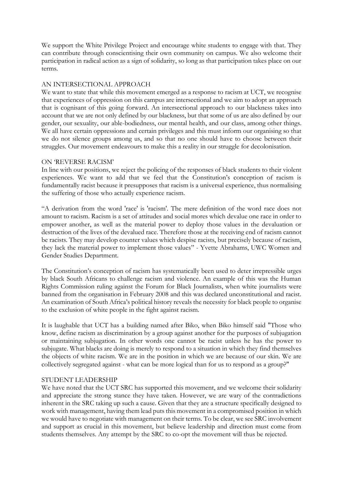We support the White Privilege Project and encourage white students to engage with that. They can contribute through conscientising their own community on campus. We also welcome their participation in radical action as a sign of solidarity, so long as that participation takes place on our terms.

# AN INTERSECTIONAL APPROACH

We want to state that while this movement emerged as a response to racism at UCT, we recognise that experiences of oppression on this campus are intersectional and we aim to adopt an approach that is cognisant of this going forward. An intersectional approach to our blackness takes into account that we are not only defined by our blackness, but that some of us are also defined by our gender, our sexuality, our able-bodiedness, our mental health, and our class, among other things. We all have certain oppressions and certain privileges and this must inform our organising so that we do not silence groups among us, and so that no one should have to choose between their struggles. Our movement endeavours to make this a reality in our struggle for decolonisation.

# ON 'REVERSE RACISM'

In line with our positions, we reject the policing of the responses of black students to their violent experiences. We want to add that we feel that the Constitution's conception of racism is fundamentally racist because it presupposes that racism is a universal experience, thus normalising the suffering of those who actually experience racism.

"A derivation from the word 'race' is 'racism'. The mere definition of the word race does not amount to racism. Racism is a set of attitudes and social mores which devalue one race in order to empower another, as well as the material power to deploy those values in the devaluation or destruction of the lives of the devalued race. Therefore those at the receiving end of racism cannot be racists. They may develop counter values which despise racists, but precisely because of racism, they lack the material power to implement those values" - Yvette Abrahams, UWC Women and Gender Studies Department.

The Constitution's conception of racism has systematically been used to deter irrepressible urges by black South Africans to challenge racism and violence. An example of this was the Human Rights Commission ruling against the Forum for Black Journalists, when white journalists were banned from the organisation in February 2008 and this was declared unconstitutional and racist. An examination of South Africa's political history reveals the necessity for black people to organise to the exclusion of white people in the fight against racism.

It is laughable that UCT has a building named after Biko, when Biko himself said "Those who know, define racism as discrimination by a group against another for the purposes of subjugation or maintaining subjugation. In other words one cannot be racist unless he has the power to subjugate. What blacks are doing is merely to respond to a situation in which they find themselves the objects of white racism. We are in the position in which we are because of our skin. We are collectively segregated against - what can be more logical than for us to respond as a group?"

# STUDENT LEADERSHIP

We have noted that the UCT SRC has supported this movement, and we welcome their solidarity and appreciate the strong stance they have taken. However, we are wary of the contradictions inherent in the SRC taking up such a cause. Given that they are a structure specifically designed to work with management, having them lead puts this movement in a compromised position in which we would have to negotiate with management on their terms. To be clear, we see SRC involvement and support as crucial in this movement, but believe leadership and direction must come from students themselves. Any attempt by the SRC to co-opt the movement will thus be rejected.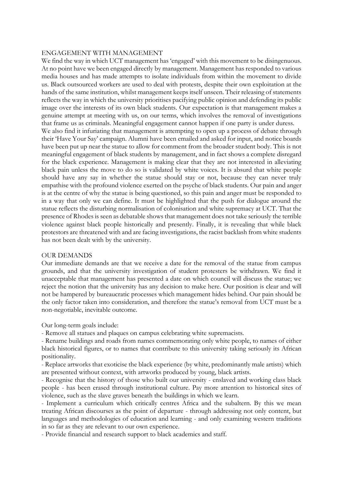#### ENGAGEMENT WITH MANAGEMENT

We find the way in which UCT management has 'engaged' with this movement to be disingenuous. At no point have we been engaged directly by management. Management has responded to various media houses and has made attempts to isolate individuals from within the movement to divide us. Black outsourced workers are used to deal with protests, despite their own exploitation at the hands of the same institution, whilst management keeps itself unseen. Their releasing of statements reflects the way in which the university prioritises pacifying public opinion and defending its public image over the interests of its own black students. Our expectation is that management makes a genuine attempt at meeting with us, on our terms, which involves the removal of investigations that frame us as criminals. Meaningful engagement cannot happen if one party is under duress. We also find it infuriating that management is attempting to open up a process of debate through their 'Have Your Say' campaign. Alumni have been emailed and asked for input, and notice boards have been put up near the statue to allow for comment from the broader student body. This is not meaningful engagement of black students by management, and in fact shows a complete disregard for the black experience. Management is making clear that they are not interested in alleviating black pain unless the move to do so is validated by white voices. It is absurd that white people should have any say in whether the statue should stay or not, because they can never truly empathise with the profound violence exerted on the psyche of black students. Our pain and anger is at the centre of why the statue is being questioned, so this pain and anger must be responded to in a way that only we can define. It must be highlighted that the push for dialogue around the statue reflects the disturbing normalisation of colonisation and white supremacy at UCT. That the presence of Rhodes is seen as debatable shows that management does not take seriously the terrible violence against black people historically and presently. Finally, it is revealing that while black protestors are threatened with and are facing investigations, the racist backlash from white students has not been dealt with by the university.

### OUR DEMANDS

Our immediate demands are that we receive a date for the removal of the statue from campus grounds, and that the university investigation of student protesters be withdrawn. We find it unacceptable that management has presented a date on which council will discuss the statue; we reject the notion that the university has any decision to make here. Our position is clear and will not be hampered by bureaucratic processes which management hides behind. Our pain should be the only factor taken into consideration, and therefore the statue's removal from UCT must be a non-negotiable, inevitable outcome.

Our long-term goals include:

- Remove all statues and plaques on campus celebrating white supremacists.

- Rename buildings and roads from names commemorating only white people, to names of either black historical figures, or to names that contribute to this university taking seriously its African positionality.

- Replace artworks that exoticise the black experience (by white, predominantly male artists) which are presented without context, with artworks produced by young, black artists.

- Recognise that the history of those who built our university - enslaved and working class black people - has been erased through institutional culture. Pay more attention to historical sites of violence, such as the slave graves beneath the buildings in which we learn.

- Implement a curriculum which critically centres Africa and the subaltern. By this we mean treating African discourses as the point of departure - through addressing not only content, but languages and methodologies of education and learning - and only examining western traditions in so far as they are relevant to our own experience.

- Provide financial and research support to black academics and staff.